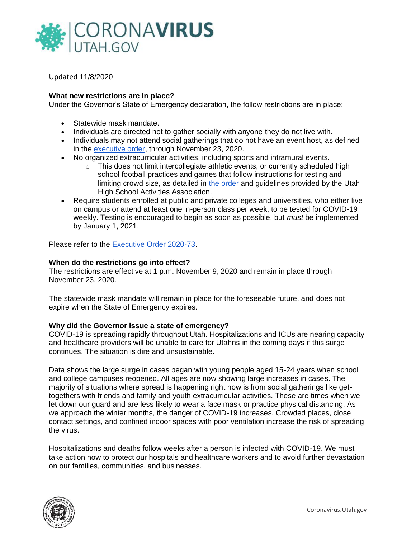

Updated 11/8/2020

## **What new restrictions are in place?**

Under the Governor's State of Emergency declaration, the follow restrictions are in place:

- Statewide mask mandate.
- Individuals are directed not to gather socially with anyone they do not live with.
- Individuals may not attend social gatherings that do not have an event host, as defined in the [executive order,](https://coronavirus-download.utah.gov/Governor/EO-2020-73-temporary-statewide-covid-19-restrictions.pdf) through November 23, 2020.
- No organized extracurricular activities, including sports and intramural events.
	- $\circ$  This does not limit intercollegiate athletic events, or currently scheduled high school football practices and games that follow instructions for testing and limiting crowd size, as detailed in [the order](https://coronavirus-download.utah.gov/Governor/EO-2020-73-temporary-statewide-covid-19-restrictions.pdf) and guidelines provided by the Utah High School Activities Association.
- Require students enrolled at public and private colleges and universities, who either live on campus or attend at least one in-person class per week, to be tested for COVID-19 weekly. Testing is encouraged to begin as soon as possible, but *must* be implemented by January 1, 2021.

Please refer to the [Executive Order 2020-73.](https://coronavirus-download.utah.gov/Governor/EO-2020-73-temporary-statewide-covid-19-restrictions.pdf)

### **When do the restrictions go into effect?**

The restrictions are effective at 1 p.m. November 9, 2020 and remain in place through November 23, 2020.

The statewide mask mandate will remain in place for the foreseeable future, and does not expire when the State of Emergency expires.

### **Why did the Governor issue a state of emergency?**

COVID-19 is spreading rapidly throughout Utah. Hospitalizations and ICUs are nearing capacity and healthcare providers will be unable to care for Utahns in the coming days if this surge continues. The situation is dire and unsustainable.

Data shows the large surge in cases began with young people aged 15-24 years when school and college campuses reopened. All ages are now showing large increases in cases. The majority of situations where spread is happening right now is from social gatherings like gettogethers with friends and family and youth extracurricular activities. These are times when we let down our guard and are less likely to wear a face mask or practice physical distancing. As we approach the winter months, the danger of COVID-19 increases. Crowded places, close contact settings, and confined indoor spaces with poor ventilation increase the risk of spreading the virus.

Hospitalizations and deaths follow weeks after a person is infected with COVID-19. We must take action now to protect our hospitals and healthcare workers and to avoid further devastation on our families, communities, and businesses.

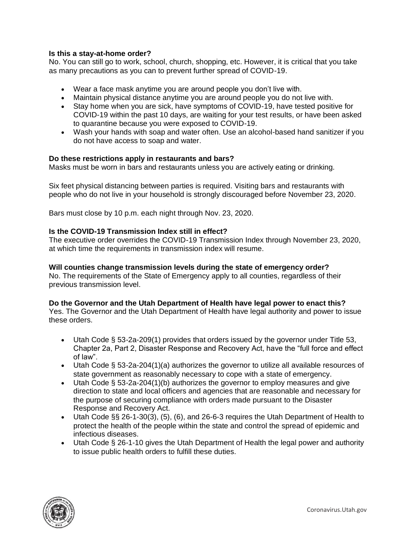## **Is this a stay-at-home order?**

No. You can still go to work, school, church, shopping, etc. However, it is critical that you take as many precautions as you can to prevent further spread of COVID-19.

- Wear a face mask anytime you are around people you don't live with.
- Maintain physical distance anytime you are around people you do not live with.
- Stay home when you are sick, have symptoms of COVID-19, have tested positive for COVID-19 within the past 10 days, are waiting for your test results, or have been asked to quarantine because you were exposed to COVID-19.
- Wash your hands with soap and water often. Use an alcohol-based hand sanitizer if you do not have access to soap and water.

## **Do these restrictions apply in restaurants and bars?**

Masks must be worn in bars and restaurants unless you are actively eating or drinking.

Six feet physical distancing between parties is required. Visiting bars and restaurants with people who do not live in your household is strongly discouraged before November 23, 2020.

Bars must close by 10 p.m. each night through Nov. 23, 2020.

## **Is the COVID-19 Transmission Index still in effect?**

The executive order overrides the COVID-19 Transmission Index through November 23, 2020, at which time the requirements in transmission index will resume.

### **Will counties change transmission levels during the state of emergency order?**

No. The requirements of the State of Emergency apply to all counties, regardless of their previous transmission level.

### **Do the Governor and the Utah Department of Health have legal power to enact this?**

Yes. The Governor and the Utah Department of Health have legal authority and power to issue these orders.

- Utah Code § 53-2a-209(1) provides that orders issued by the governor under Title 53, Chapter 2a, Part 2, Disaster Response and Recovery Act, have the "full force and effect of law".
- Utah Code § 53-2a-204(1)(a) authorizes the governor to utilize all available resources of state government as reasonably necessary to cope with a state of emergency.
- Utah Code § 53-2a-204(1)(b) authorizes the governor to employ measures and give direction to state and local officers and agencies that are reasonable and necessary for the purpose of securing compliance with orders made pursuant to the Disaster Response and Recovery Act.
- Utah Code §§ 26-1-30(3), (5), (6), and 26-6-3 requires the Utah Department of Health to protect the health of the people within the state and control the spread of epidemic and infectious diseases.
- Utah Code § 26-1-10 gives the Utah Department of Health the legal power and authority to issue public health orders to fulfill these duties.

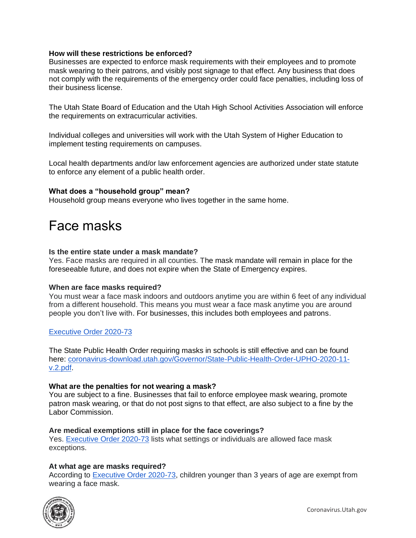### **How will these restrictions be enforced?**

Businesses are expected to enforce mask requirements with their employees and to promote mask wearing to their patrons, and visibly post signage to that effect. Any business that does not comply with the requirements of the emergency order could face penalties, including loss of their business license.

The Utah State Board of Education and the Utah High School Activities Association will enforce the requirements on extracurricular activities.

Individual colleges and universities will work with the Utah System of Higher Education to implement testing requirements on campuses.

Local health departments and/or law enforcement agencies are authorized under state statute to enforce any element of a public health order.

### **What does a "household group" mean?**

Household group means everyone who lives together in the same home.

## Face masks

### **Is the entire state under a mask mandate?**

Yes. Face masks are required in all counties. The mask mandate will remain in place for the foreseeable future, and does not expire when the State of Emergency expires.

### **When are face masks required?**

You must wear a face mask indoors and outdoors anytime you are within 6 feet of any individual from a different household. This means you must wear a face mask anytime you are around people you don't live with. For businesses, this includes both employees and patrons.

## [Executive Order 2020-73](https://coronavirus-download.utah.gov/Governor/EO-2020-73-temporary-statewide-covid-19-restrictions.pdf)

The State Public Health Order requiring masks in schools is still effective and can be found here: [coronavirus-download.utah.gov/Governor/State-Public-Health-Order-UPHO-2020-11](https://coronavirus-download.utah.gov/Governor/State-Public-Health-Order-UPHO-2020-11-v.2.pdf) [v.2.pdf.](https://coronavirus-download.utah.gov/Governor/State-Public-Health-Order-UPHO-2020-11-v.2.pdf)

### **What are the penalties for not wearing a mask?**

You are subject to a fine. Businesses that fail to enforce employee mask wearing, promote patron mask wearing, or that do not post signs to that effect, are also subject to a fine by the Labor Commission.

### **Are medical exemptions still in place for the face coverings?**

Yes. [Executive Order 2020-73](https://coronavirus-download.utah.gov/Governor/EO-2020-73-temporary-statewide-covid-19-restrictions.pdf) lists what settings or individuals are allowed face mask exceptions.

### **At what age are masks required?**

According to [Executive Order 2020-73,](https://coronavirus-download.utah.gov/Governor/EO-2020-73-temporary-statewide-covid-19-restrictions.pdf) children younger than 3 years of age are exempt from wearing a face mask.

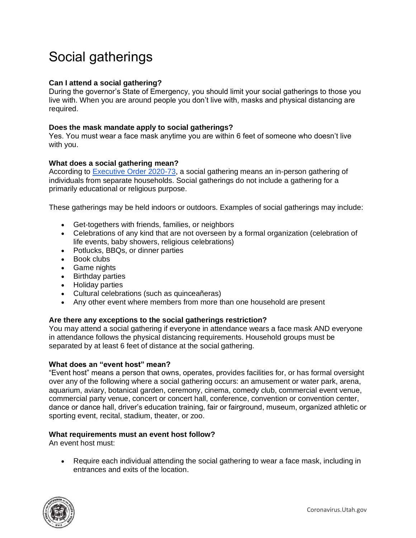# Social gatherings

## **Can I attend a social gathering?**

During the governor's State of Emergency, you should limit your social gatherings to those you live with. When you are around people you don't live with, masks and physical distancing are required.

### **Does the mask mandate apply to social gatherings?**

Yes. You must wear a face mask anytime you are within 6 feet of someone who doesn't live with you.

### **What does a social gathering mean?**

According to [Executive Order 2020-73,](https://coronavirus-download.utah.gov/Governor/EO-2020-73-temporary-statewide-covid-19-restrictions.pdf) a social gathering means an in-person gathering of individuals from separate households. Social gatherings do not include a gathering for a primarily educational or religious purpose.

These gatherings may be held indoors or outdoors. Examples of social gatherings may include:

- Get-togethers with friends, families, or neighbors
- Celebrations of any kind that are not overseen by a formal organization (celebration of life events, baby showers, religious celebrations)
- Potlucks, BBQs, or dinner parties
- Book clubs
- Game nights
- Birthday parties
- Holiday parties
- Cultural celebrations (such as quinceañeras)
- Any other event where members from more than one household are present

## **Are there any exceptions to the social gatherings restriction?**

You may attend a social gathering if everyone in attendance wears a face mask AND everyone in attendance follows the physical distancing requirements. Household groups must be separated by at least 6 feet of distance at the social gathering.

### **What does an "event host" mean?**

"Event host" means a person that owns, operates, provides facilities for, or has formal oversight over any of the following where a social gathering occurs: an amusement or water park, arena, aquarium, aviary, botanical garden, ceremony, cinema, comedy club, commercial event venue, commercial party venue, concert or concert hall, conference, convention or convention center, dance or dance hall, driver's education training, fair or fairground, museum, organized athletic or sporting event, recital, stadium, theater, or zoo.

### **What requirements must an event host follow?**

An event host must:

• Require each individual attending the social gathering to wear a face mask, including in entrances and exits of the location.

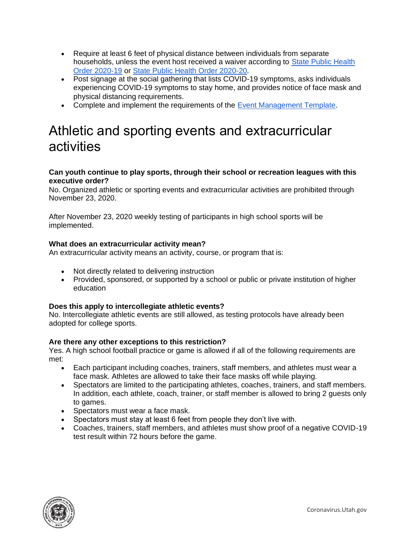- Require at least 6 feet of physical distance between individuals from separate households, unless the event host received a waiver according to [State Public Health](https://coronavirus-download.utah.gov/Health/UPHO-2020-19-COVID-19-Transmission-Index.pdf)  [Order 2020-19](https://coronavirus-download.utah.gov/Health/UPHO-2020-19-COVID-19-Transmission-Index.pdf) or [State Public Health Order 2020-20.](https://coronavirus-download.utah.gov/Health/UPHO-2020-20-UPDATING-COVID-19-Transmission-Index.pdf)
- Post signage at the social gathering that lists COVID-19 symptoms, asks individuals experiencing COVID-19 symptoms to stay home, and provides notice of face mask and physical distancing requirements.
- Complete and implement the requirements of the [Event Management Template.](https://coronavirus-download.utah.gov/business/Yellow/COVID_19_Event_Planning_Template.pdf)

## Athletic and sporting events and extracurricular activities

## **Can youth continue to play sports, through their school or recreation leagues with this executive order?**

No. Organized athletic or sporting events and extracurricular activities are prohibited through November 23, 2020.

After November 23, 2020 weekly testing of participants in high school sports will be implemented.

## **What does an extracurricular activity mean?**

An extracurricular activity means an activity, course, or program that is:

- Not directly related to delivering instruction
- Provided, sponsored, or supported by a school or public or private institution of higher education

## **Does this apply to intercollegiate athletic events?**

No. Intercollegiate athletic events are still allowed, as testing protocols have already been adopted for college sports.

## **Are there any other exceptions to this restriction?**

Yes. A high school football practice or game is allowed if all of the following requirements are met:

- Each participant including coaches, trainers, staff members, and athletes must wear a face mask. Athletes are allowed to take their face masks off while playing.
- Spectators are limited to the participating athletes, coaches, trainers, and staff members. In addition, each athlete, coach, trainer, or staff member is allowed to bring 2 guests only to games.
- Spectators must wear a face mask.
- Spectators must stay at least 6 feet from people they don't live with.
- Coaches, trainers, staff members, and athletes must show proof of a negative COVID-19 test result within 72 hours before the game.

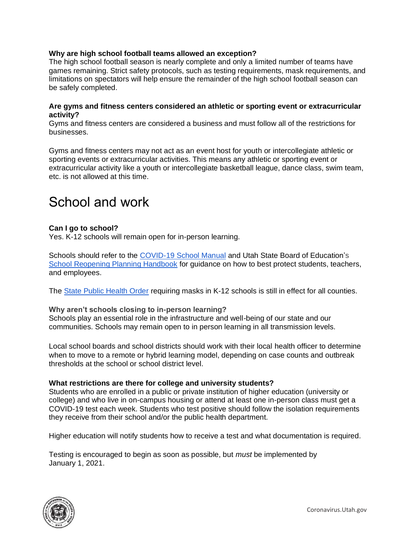### **Why are high school football teams allowed an exception?**

The high school football season is nearly complete and only a limited number of teams have games remaining. Strict safety protocols, such as testing requirements, mask requirements, and limitations on spectators will help ensure the remainder of the high school football season can be safely completed.

#### **Are gyms and fitness centers considered an athletic or sporting event or extracurricular activity?**

Gyms and fitness centers are considered a business and must follow all of the restrictions for businesses.

Gyms and fitness centers may not act as an event host for youth or intercollegiate athletic or sporting events or extracurricular activities. This means any athletic or sporting event or extracurricular activity like a youth or intercollegiate basketball league, dance class, swim team, etc. is not allowed at this time.

## School and work

### **Can I go to school?**

Yes. K-12 schools will remain open for in-person learning.

Schools should refer to the [COVID-19 School Manual](https://coronavirus.utah.gov/education/school-manual/) and Utah State Board of Education's [School Reopening Planning Handbook](https://schools.utah.gov/file/5997f53e-85ca-4186-83fe-932385ea760a) for guidance on how to best protect students, teachers, and employees.

The [State Public Health Order](https://coronavirus-download.utah.gov/Governor/State-Public-Health-Order-UPHO-2020-11-v.2.pdf) requiring masks in K-12 schools is still in effect for all counties.

### **Why aren't schools closing to in-person learning?**

Schools play an essential role in the infrastructure and well-being of our state and our communities. Schools may remain open to in person learning in all transmission levels.

Local school boards and school districts should work with their local health officer to determine when to move to a remote or hybrid learning model, depending on case counts and outbreak thresholds at the school or school district level.

### **What restrictions are there for college and university students?**

Students who are enrolled in a public or private institution of higher education (university or college) and who live in on-campus housing or attend at least one in-person class must get a COVID-19 test each week. Students who test positive should follow the isolation requirements they receive from their school and/or the public health department.

Higher education will notify students how to receive a test and what documentation is required.

Testing is encouraged to begin as soon as possible, but *must* be implemented by January 1, 2021.

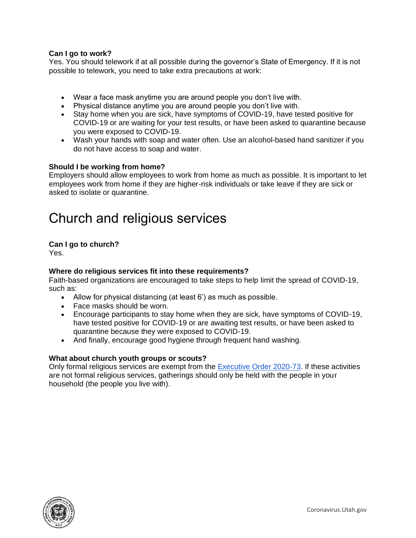## **Can I go to work?**

Yes. You should telework if at all possible during the governor's State of Emergency. If it is not possible to telework, you need to take extra precautions at work:

- Wear a face mask anytime you are around people you don't live with.
- Physical distance anytime you are around people you don't live with.
- Stay home when you are sick, have symptoms of COVID-19, have tested positive for COVID-19 or are waiting for your test results, or have been asked to quarantine because you were exposed to COVID-19.
- Wash your hands with soap and water often. Use an alcohol-based hand sanitizer if you do not have access to soap and water.

## **Should I be working from home?**

Employers should allow employees to work from home as much as possible. It is important to let employees work from home if they are higher-risk individuals or take leave if they are sick or asked to isolate or quarantine.

## Church and religious services

## **Can I go to church?**

Yes.

## **Where do religious services fit into these requirements?**

Faith-based organizations are encouraged to take steps to help limit the spread of COVID-19, such as:

- Allow for physical distancing (at least 6') as much as possible.
- Face masks should be worn.
- Encourage participants to stay home when they are sick, have symptoms of COVID-19, have tested positive for COVID-19 or are awaiting test results, or have been asked to quarantine because they were exposed to COVID-19.
- And finally, encourage good hygiene through frequent hand washing.

## **What about church youth groups or scouts?**

Only formal religious services are exempt from the [Executive Order 2020-73.](https://coronavirus-download.utah.gov/Governor/EO-2020-73-temporary-statewide-covid-19-restrictions.pdf) If these activities are not formal religious services, gatherings should only be held with the people in your household (the people you live with).